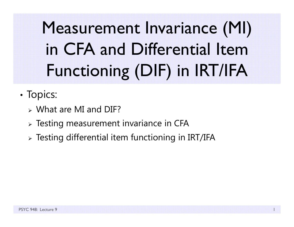Measurement Invariance (MI) in CFA and Differential Item Functioning (DIF) in IRT/IFA

- •• Topics:
	- What are MI and DIF?
	- $\triangleright$  Testing measurement invariance in CFA
	- $\triangleright$  Testing differential item functioning in IRT/IFA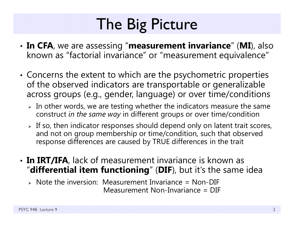# The Big Picture

- • **In CFA**, we are assessing "**measurement invariance**" (**MI**), also known as "factorial invariance" or "measurement equivalence"
- • Concerns the extent to which are the psychometric properties of the observed indicators are transportable or generalizable across groups (e.g., gender, language) or over time/conditions
	- $\triangleright$  In other words, we are testing whether the indicators measure the same construct *in the same way* in different groups or over time/condition
	- $\triangleright$  If so, then indicator responses should depend only on latent trait scores, and not on group membership or time/condition, such that observed response differences are caused by TRUE differences in the trait
- **In IRT/IFA**, lack of measurement invariance is known as "**differential item functioning**" (**DIF**), but it's the same idea
	- Note the inversion: Measurement Invariance = Non-DIF Measurement Non-Invariance = DIF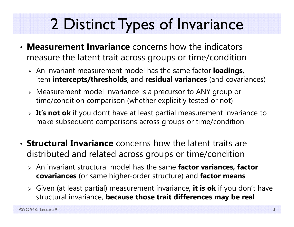# 2 Distinct Types of Invariance

- **Measurement Invariance** concerns how the indicators measure the latent trait across groups or time/condition
	- An invariant measurement model has the same factor **loadings**, item **intercepts/thresholds**, and **residual variances** (and covariances)
	- Measurement model invariance is a precursor to ANY group or time/condition comparison (whether explicitly tested or not)
	- **It's not ok** if you don't have at least partial measurement invariance to make subsequent comparisons across groups or time/condition
- **Structural Invariance** concerns how the latent traits are distributed and related across groups or time/condition
	- An invariant structural model has the same **factor variances, factor covariances** (or same higher-order structure) and **factor means**
	- Given (at least partial) measurement invariance, **it is ok** if you don't have structural invariance, **because those trait differences may be real**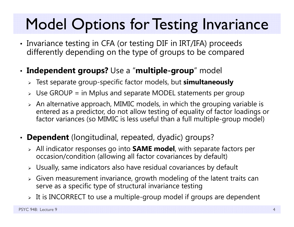## Model Options for Testing Invariance

• Invariance testing in CFA (or testing DIF in IRT/IFA) proceeds differently depending on the type of groups to be compared

#### • **Independent groups?** Use a "**multiple-group**" model

- Test separate group-specific factor models, but **simultaneously**
- $\triangleright$  Use GROUP = in Mplus and separate MODEL statements per group
- $\triangleright$  An alternative approach, MIMIC models, in which the grouping variable is  $\blacksquare$ entered as a predictor, do not allow testing of equality of factor loadings or factor variances (so MIMIC is less useful than a full multiple-group model)
- **Dependent** (longitudinal, repeated, dyadic) groups?
	- All indicator responses go into **SAME model**, with separate factors per occasion/condition (allowing all factor covariances by default)
	- $\triangleright$  Usually, same indicators also have residual covariances by default
	- $\triangleright$  Given measurement invariance, growth modeling of the latent traits can serve as a specific type of structural invariance testing
	- $\triangleright\;$  It is INCORRECT to use a multiple-group model if groups are dependent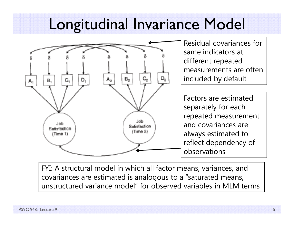## Longitudinal Invariance Model



FYI: A structural model in which all factor means, variances, and covariances are estimated is analogous to a "saturated means, unstructured variance model" for observed variables in MLM terms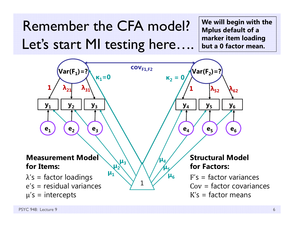Remember the CFA model?Let's start MI testing here....

**We will begin with the Mplus default of a marker item loading but a 0 factor mean.**

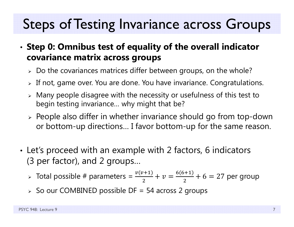### Steps of Testing Invariance across Groups

- • **Step 0: Omnibus test of equality of the overall indicator covariance matrix across groups**
	- $\triangleright$  Do the covariances matrices differ between groups, on the whole?
	- $\triangleright$  If not, game over. You are done. You have invariance. Congratulations.
	- $\triangleright$  Many people disagree with the necessity or usefulness of this test to begin testing invariance… why might that be?
	- $\triangleright$  People also differ in whether invariance should go from top-down or bottom-up directions… I favor bottom-up for the same reason.
- • Let's proceed with an example with 2 factors, 6 indicators (3 per factor), and 2 groups…
	- > Total possible # parameters =  $\frac{v(v+1)}{2}$ 2  $+ v =$  $6(6+1)$  $\frac{1}{2} + 6 = 27$  per group
	- $\triangleright$  So our COMBINED possible DF = 54 across 2 groups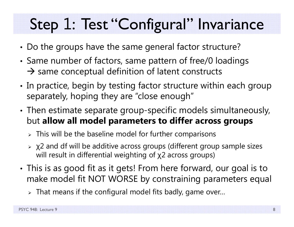# Step 1: Test "Configural" Invariance

- •Do the groups have the same general factor structure?
- • Same number of factors, same pattern of free/0 loadings  $\rightarrow$  same conceptual definition of latent constructs
- • $\bm{\cdot}$  In practice, begin by testing factor structure within each group separately, hoping they are "close enough"
- • Then estimate separate group-specific models simultaneously, but **allow all model parameters to differ across groups** 
	- $\triangleright$  This will be the baseline model for further comparisons
	- $\triangleright$   $\chi$ 2 and df will be additive across groups (different group sample sizes  $\;$ will result in differential weighting of χ2 across groups)
- • This is as good fit as it gets! From here forward, our goal is to make model fit NOT WORSE by constraining parameters equal
	- $\triangleright$  That means if the configural model fits badly, game over…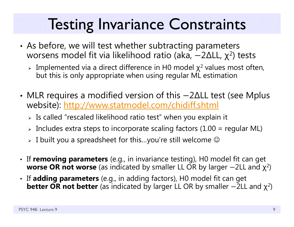### Testing Invariance Constraints

- • As before, we will test whether subtracting parameters worsens model fit via likelihood ratio (aka,  $-2\Delta$ LL,  $\chi^2$ ) tests
	- $\triangleright$  Implemented via a direct difference in H0 model  $\chi^2$  values most often, but this is only appropriate when using regular ML estimation
- • MLR requires a modified version of this –2∆LL test (see Mplus website): http://www.statmodel.com/chidiff.shtml
	- $\triangleright$  Is called "rescaled likelihood ratio test" when you explain it
	- $\triangleright$  Includes extra steps to incorporate scaling factors (1.00 = regular ML)
	- $\triangleright\;$  I built you a spreadsheet for this…you're still welcome  $\mathbb G$
- If **removing parameters** (e.g., in invariance testing), H0 model fit can get **worse OR not worse** (as indicated by smaller LL OR by larger  $-2$ LL and  $\chi^2$ )
- If **adding parameters** (e.g., in adding factors), H0 model fit can get  $\bm{\mathsf{better}}$   $\bm{\mathsf{OR}}$   $\bm{\mathsf{not}}$   $\bm{\mathsf{better}}$  (as indicated by larger LL OR by smaller  $-2$ LL and  $\chi^2$ )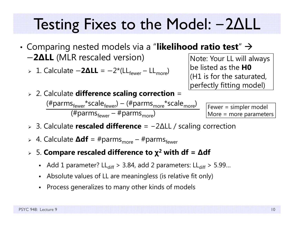#### Testing Fixes to the Model:  $-2\Delta L$

- • $\bullet$  Comparing nested models via a "**likelihood ratio test**"  $\rightarrow$ െ **2 ∆LL** (MLR rescaled version)
	- **⊳** 1. Calculate −2ΔLL = −2\*(LL<sub>fewer</sub> LL<sub>more</sub>)
- Note: Your LL will always be listed as the **H0** (H1 is for the saturated, perfectly fitting model)
- 2. Calculate **difference scaling correction** =  $(\text{\#params}_{\text{fewer}}^*$ scale $_{\text{fewer}}^*$ ) – ( $\text{\#params}_{\text{more}}^*$ scale $_{\text{more}}^*$ ) (#parms<sub>fewer</sub> – #parms<sub>more</sub>)

Fewer = simpler model More = more parameters

- 3. Calculate **rescaled difference** <sup>=</sup> − 2 ∆LL / scaling correction
- » 4. Calculate **∆df** = #parms<sub>more</sub> #parms<sub>fewer</sub>
- 5. **Compare rescaled difference to χ 2 with df <sup>=</sup> ∆df**
	- Add 1 parameter? LL $_{\rm diff}$  > 3.84, add 2 parameters: LL $_{\rm diff}$  > 5.99...
	- Absolute values of LL are meaningless (is relative fit only)
	- Process generalizes to many other kinds of models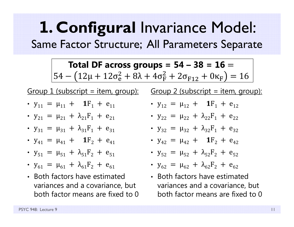### **1. Configural** Invariance Model: Same Factor Structure; All Parameters Separate

**Total DF across groups = 54 – 38 = 16 =** 54 —  $\left(12\mu + 12\sigma_{\rm e}^2 + 8\lambda + 4\sigma_{\rm F}^2 + 2\sigma_{\rm F12} + 0\kappa_{\rm F}\right) = 16$ 

Group  $1$  (subscript = item, group):

- $y_{11} = \mu_{11} + 1F_1 + e_{11}$
- $y_{21} = \mu_{21} + \lambda_{21}F_1 + e_{21}$
- $y_{31} = \mu_{31} + \lambda_{31}F_1 + e_{31}$
- $y_{41} = \mu_{41} + 1F_2 + e_{41}$
- $y_{51} = \mu_{51} + \lambda_{51}F_2 + e_{51}$
- $y_{61} = \mu_{61} + \lambda_{61}F_2 + e_{61}$
- Both factors have estimated variances and a covariance, but both factor means are fixed to 0

Group  $2$  (subscript = item, group):

- $y_{12} = \mu_{12} + 1F_1 + e_{12}$
- $y_{22} = \mu_{22} + \lambda_{22}F_1 + e_{22}$
- $y_{32} = \mu_{32} + \lambda_{32}F_1 + e_{32}$
- $y_{42} = \mu_{42} + 1$   $F_2 + e_{42}$
- $y_{52} = \mu_{52} + \lambda_{52}F_2 + e_{52}$
- $y_{62} = \mu_{62} + \lambda_{62}F_2 + e_{62}$
- Both factors have estimated variances and a covariance, but both factor means are fixed to 0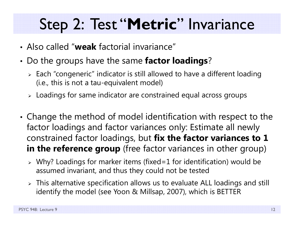## Step 2: Test "**Metric**" Invariance

- Also called "**weak** factorial invariance"
- • Do the groups have the same **factor loadings**?
	- $\triangleright$  Each "congeneric" indicator is still allowed to have a different loading (i.e., this is not a tau-equivalent model)
	- $\triangleright$  Loadings for same indicator are constrained equal across groups
- • Change the method of model identification with respect to the factor loadings and factor variances only: Estimate all newly constrained factor loadings, but **fix the factor variances to 1 in the reference group** (free factor variances in other group)
	- Why? Loadings for marker items (fixed=1 for identification) would be assumed invariant, and thus they could not be tested
	- $\triangleright$  This alternative specification allows us to evaluate ALL loadings and still identify the model (see Yoon & Millsap, 2007), which is BETTER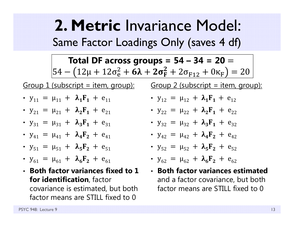**2. Metric** Invariance Model: Same Factor Loadings Only (saves 4 df)

**Total DF across groups = 54 – 34 = 20 =**  $54 - \big(12 \mu + 12 \sigma_{\rm e}^2 + {\bf 6} \boldsymbol{\lambda} + {\bf 2} \sigma_{\rm F}^2 + 2 \sigma_{\rm F12} + 0 \kappa_{\rm F}\big) = 20$ 

Group 1 (subscript = item, group): Group 2 (subscript = item, group):

- $y_{11} = \mu_{11} + \lambda_1 F_1 + e_{11}$
- $y_{21} = \mu_{21} + \lambda_2 F_1 + e_{21}$
- $y_{31} = \mu_{31} + \lambda_3 F_1 + e_{31}$
- $y_{41} = \mu_{41} + \lambda_4 F_2 + e_{41}$
- $y_{51} = \mu_{51} + \lambda_5 F_2 + e_{51}$
- $y_{61} = \mu_{61} + \lambda_6 F_2 + e_{61}$
- **Both factor variances fixed to 1 for identification**, factor covariance is estimated, but both factor means are STILL fixed to 0

• 
$$
y_{12} = \mu_{12} + \lambda_1 F_1 + e_{12}
$$

• 
$$
y_{22} = \mu_{22} + \lambda_2 F_1 + e_{22}
$$

- $y_{32} = \mu_{32} + \lambda_3 F_1 + e_{32}$
- $y_{42} = \mu_{42} + \lambda_4 F_2 + e_{42}$

• 
$$
y_{52} = \mu_{52} + \lambda_5 F_2 + e_{52}
$$

•  $y_{62} = \mu_{62} + \lambda_6 F_2 + e_{62}$ 

• **Both factor variances estimated**  and a factor covariance, but both factor means are STILL fixed to 0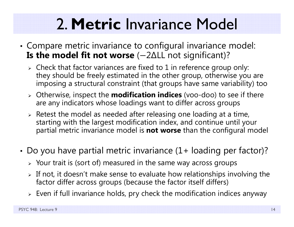# 2. **Metric** Invariance Model

- • Compare metric invariance to configural invariance model: **Is the model fit not worse** (-2∆LL not significant)?
	- $\triangleright$  Check that factor variances are fixed to 1 in reference group only: they should be freely estimated in the other group, otherwise you are imposing a structural constraint (that groups have same variability) too
	- Otherwise, inspect the **modification indices** (voo-doo) to see if there are any indicators whose loadings want to differ across groups
	- $\triangleright$  Retest the model as needed after releasing one loading at a time, starting with the largest modification index, and continue until your partial metric invariance model is **not worse** than the configural model
- • Do you have partial metric invariance (1+ loading per factor)?
	- $\triangleright$  Your trait is (sort of) measured in the same way across groups
	- $\triangleright$  If not, it doesn't make sense to evaluate how relationships involving the factor differ across groups (because the factor itself differs)
	- $\triangleright\;$  Even if full invariance holds, pry check the modification indices anyway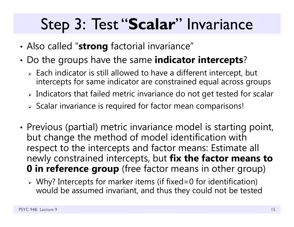## Step 3: Test "**Scalar**" Invariance

- •Also called "**strong** factorial invariance"
- • Do the groups have the same **indicator intercepts**?
	- $\triangleright$  Each indicator is still allowed to have a different intercept, but intercepts for same indicator are constrained equal across groups
	- $\triangleright$  Indicators that failed metric invariance do not get tested for scalar
	- $\triangleright$  Scalar invariance is required for factor mean comparisons!
- •• Previous (partial) metric invariance model is starting point, but change the method of model identification with respect to the intercepts and factor means: Estimate all newly constrained intercepts, but **fix the factor means to 0** in reference group (free factor means in other group)
	- Why? Intercepts for marker items (if fixed=0 for identification) would be assumed invariant, and thus they could not be tested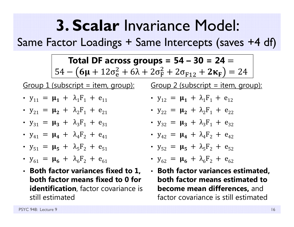## **3. Scalar** Invariance Model:

Same Factor Loadings + Same Intercepts (saves +4 df)

**Total DF across groups =**  $54 - 30 = 24 = 1$ 54 –  $(6\mu + 12\sigma_e^2 + 6\lambda + 2\sigma_F^2 + 2\sigma_{F12} + 2\kappa_F) = 24$ 

Group  $1$  (subscript = item, group):

- $y_{11} = \mu_1 + \lambda_1 F_1 + e_{11}$
- $y_{21} = \mu_2 + \lambda_2F_1 + e_{21}$
- $y_{31} = \mu_3 + \lambda_3F_1 + e_{31}$
- $y_{41} = \mu_4 + \lambda_4 F_2 + e_{41}$
- $y_{51} = \mu_5 + \lambda_5 F_2 + e_{51}$
- $y_{61} = \mu_6 + \lambda_6 F_2 + e_{61}$
- **Both factor variances fixed to 1, both factor means fixed to 0 for identification**, factor covariance is still estimated

Group  $2$  (subscript = item, group):

- $y_{12} = \mu_1 + \lambda_1 F_1 + e_{12}$
- $y_{22} = \mu_2 + \lambda_2F_1 + e_{22}$
- $y_{32} = \mu_3 + \lambda_3F_1 + e_{32}$
- $y_{42} = \mu_4 + \lambda_4 F_2 + e_{42}$
- $y_{52} = \mu_5 + \lambda_5 F_2 + e_{52}$

• 
$$
y_{62} = \mu_6 + \lambda_6 F_2 + e_{62}
$$

• **Both factor variances estimated, both factor means estimated to become mean differences,** and factor covariance is still estimated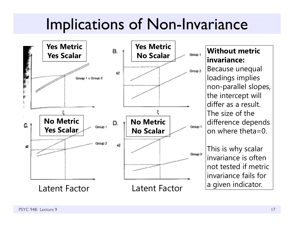## Implications of Non-Invariance



#### **Without metric invariance:**

Because unequal loadings implies non-parallel slopes, the intercept will differ as a result. The size of the difference depends on where theta=0.

This is why scalar invariance is often not tested if metric invariance fails for a given indicator.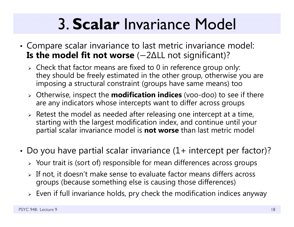# 3. **Scalar** Invariance Model

- • Compare scalar invariance to last metric invariance model: **Is the model fit not worse** (-2∆LL not significant)?
	- $\triangleright$  Check that factor means are fixed to 0 in reference group only: they should be freely estimated in the other group, otherwise you are imposing a structural constraint (groups have same means) too
	- Otherwise, inspect the **modification indices** (voo-doo) to see if there are any indicators whose intercepts want to differ across groups
	- $\triangleright$  Retest the model as needed after releasing one intercept at a time, starting with the largest modification index, and continue until your partial scalar invariance model is **not worse** than last metric model
- • Do you have partial scalar invariance (1+ intercept per factor)?
	- $\triangleright$  Your trait is (sort of) responsible for mean differences across groups
	- $\triangleright$  If not, it doesn't make sense to evaluate factor means differs across groups (because something else is causing those differences)
	- $\triangleright\;$  Even if full invariance holds, pry check the modification indices anyway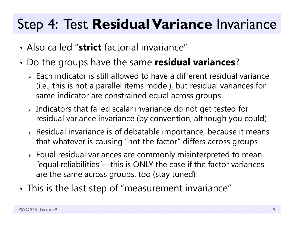### Step 4: Test **Residual Variance** Invariance

- Also called "**strict** factorial invariance"
- • Do the groups have the same **residual variances**?
	- $\triangleright$  Each indicator is still allowed to have a different residual variance (i.e., this is not a parallel items model), but residual variances for same indicator are constrained equal across groups
	- $\triangleright$  Indicators that failed scalar invariance do not get tested for residual variance invariance (by convention, although you could)
	- $\triangleright$  Residual invariance is of debatable importance, because it means that whatever is causing "not the factor" differs across groups
	- $\triangleright$  Equal residual variances are commonly misinterpreted to mean "equal reliabilities"—this is ONLY the case if the factor variances are the same across groups, too (stay tuned)
- •This is the last step of "measurement invariance"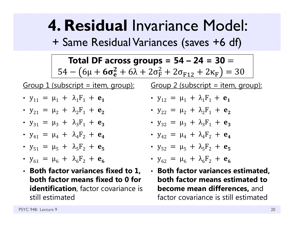**4. Residual** Invariance Model: + Same Residual Variances (saves +6 df)

**Total DF across groups =**  $54 - 24 = 30 = 1$ 54 —  $(6\mu + 6\sigma_{\rm e}^2 + 6\lambda + 2\sigma_{\rm F}^2 + 2\sigma_{\rm F12} + 2\kappa_{\rm F}) = 30$ 

Group  $1$  (subscript = item, group):

- $y_{11} = \mu_1 + \lambda_1 F_1 + e_1$
- $y_{21} = \mu_2 + \lambda_2F_1 + e_2$
- $y_{31} = \mu_3 + \lambda_3 F_1 + e_3$
- $y_{41} = \mu_4 + \lambda_4 F_2 + e_4$
- $y_{51} = \mu_5 + \lambda_5 F_2 + e_5$
- $y_{61} = \mu_6 + \lambda_6 F_2 + e_6$
- **Both factor variances fixed to 1, both factor means fixed to 0 for identification**, factor covariance is still estimated

Group  $2$  (subscript = item, group):

• 
$$
y_{12} = \mu_1 + \lambda_1 F_1 + e_1
$$

• 
$$
y_{22} = \mu_2 + \lambda_2 F_1 + e_2
$$

- $y_{32} = \mu_3 + \lambda_3 F_1 + e_3$
- $y_{42} = \mu_4 + \lambda_4 F_2 + e_4$

• 
$$
y_{52} = \mu_5 + \lambda_5 F_2 + e_5
$$

• 
$$
y_{62} = \mu_6 + \lambda_6 F_2 + e_6
$$

• **Both factor variances estimated, both factor means estimated to become mean differences,** and factor covariance is still estimated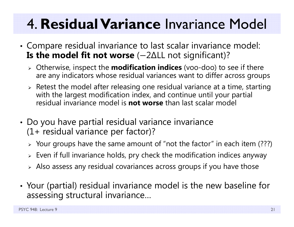## 4. **Residual Variance** Invariance Model

- • Compare residual invariance to last scalar invariance model: **Is the model fit not worse** (-2∆LL not significant)?
	- Otherwise, inspect the **modification indices** (voo-doo) to see if there are any indicators whose residual variances want to differ across groups
	- $\triangleright$  Retest the model after releasing one residual variance at a time, starting with the largest modification index, and continue until your partial residual invariance model is **not worse** than last scalar model
- • Do you have partial residual variance invariance (1+ residual variance per factor)?
	- $\triangleright$  Your groups have the same amount of "not the factor" in each item (???)
	- $\triangleright\;$  Even if full invariance holds, pry check the modification indices anyway
	- $\triangleright$  Also assess any residual covariances across groups if you have those
- • Your (partial) residual invariance model is the new baseline for assessing structural invariance…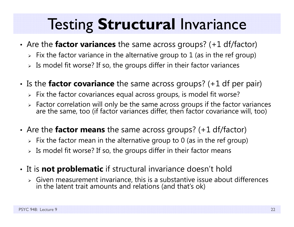## Testing **Structural** Invariance

- • Are the **factor variances** the same across groups? (+1 df/factor)
	- $\triangleright\;$  Fix the factor variance in the alternative group to  $1$  (as in the ref group)
	- $\triangleright$  Is model fit worse? If so, the groups differ in their factor variances
- •• Is the **factor covariance** the same across groups? (+1 df per pair)
	- $\triangleright\;$  Fix the factor covariances equal across groups, is model fit worse?
	- > Factor correlation will only be the same across groups if the factor variances are the same, too (if factor variances differ, then factor covariance will, too)
- • Are the **factor means** the same across groups? (+1 df/factor)
	- $\triangleright\;$  Fix the factor mean in the alternative group to 0 (as in the ref group)
	- $\triangleright$  Is model fit worse? If so, the groups differ in their factor means
- • It is **not problematic** if structural invariance doesn't hold
	- $\triangleright$  Given measurement invariance, this is a substantive issue about differences in the latent trait amounts and relations (and that's ok)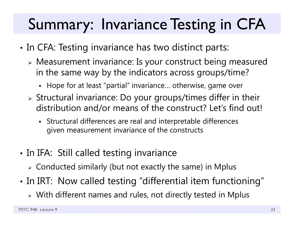## Summary: Invariance Testing in CFA

- •• In CFA: Testing invariance has two distinct parts:
	- Measurement invariance: Is your construct being measured in the same way by the indicators across groups/time?
		- Hope for at least "partial" invariance… otherwise, game over
	- $\triangleright$  Structural invariance: Do your groups/times differ in their distribution and/or means of the construct? Let's find out!
		- Structural differences are real and interpretable differences given measurement invariance of the constructs
- •• In IFA: Still called testing invariance
	- $\triangleright$  Conducted similarly (but not exactly the same) in Mplus
- •• In IRT: Now called testing "differential item functioning"
	- With different names and rules, not directly tested in Mplus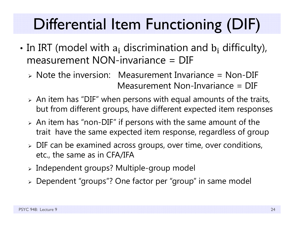# Differential Item Functioning (DIF)

- •• In IRT (model with  $a_i$  discrimination and  $b_i$  difficulty), measurement NON-invariance = DIF
	- Note the inversion: Measurement Invariance = Non-DIF Measurement Non-Invariance = DIF
	- $\triangleright$  An item has "DIF" when persons with equal amounts of the traits, but from different groups, have different expected item responses
	- $\triangleright$  An item has "non-DIF" if persons with the same amount of the trait have the same expected item response, regardless of group
	- $\triangleright$  DIF can be examined across groups, over time, over conditions, etc., the same as in CFA/IFA
	- $\triangleright$  Independent groups? Multiple-group model
	- Dependent "groups"? One factor per "group" in same model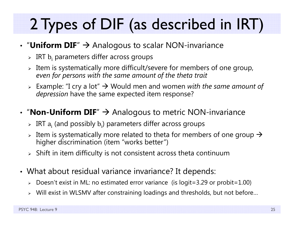# 2 Types of DIF (as described in IRT)

#### • "Uniform DIF"  $\rightarrow$  Analogous to scalar NON-invariance

- $\triangleright$  IRT  $\mathrm{b_{i}}$  parameters differ across groups
- $\triangleright$  Item is systematically more difficult/severe for members of one group, *even for persons with the same amount of the theta trait*
- Example: "I cry a lot" Would men and women *with the same amount of depression* have the same expected item response?

#### • "**Non-Uniform DIF**"  $\rightarrow$  Analogous to metric NON-invariance

- $\triangleright$  IRT  $\rm a_i$  (and possibly  $\rm b_i$ ) parameters differ across groups
- $\triangleright$  Item is systematically more related to theta for members of one group  $\rightarrow$ higher discrimination (item "works better")
- $\triangleright$   $\,$  Shift in item difficulty is not consistent across theta continuum
- What about residual variance invariance? It depends:
	- $\triangleright$  Doesn't exist in ML: no estimated error variance (is logit=3.29 or probit=1.00)
	- $\triangleright$  Will exist in WLSMV after constraining loadings and thresholds, but not before…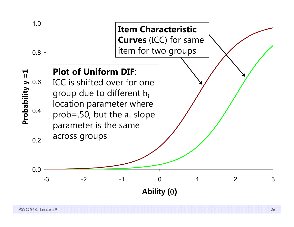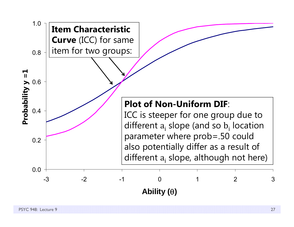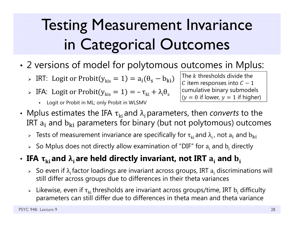# Testing Measurement Invariance in Categorical Outcomes

- • 2 versions of model for polytomous outcomes in Mplus:
	- $\triangleright$  IRT: Logit or Probit( $y_{\rm kis} = 1$ ) =  $a_{\rm i}(\theta_{\rm s} b_{\rm ki})$
	- $\triangleright$  IFA: Logit or Probit $(y_{\rm kis} = 1) = -\tau_{\rm ki} + \lambda_{\rm i} \theta_{\rm sk}$ 
		- Г Logit or Probit in ML; only Probit in WLSMV

The  $k$  thresholds divide the  $\,$  ${\cal C}$  item responses into  ${\cal C}-1$ cumulative binary submodels  $(y = 0$  if lower,  $y = 1$  if higher)

- Mplus estimates the IFA  $\tau_{ki}$  and  $\lambda_i$  parameters, then *converts* to the IRT  $\rm a_i$  and  $\rm b_{ki}$  parameters for binary (but not polytomous) outcomes
	- $\triangleright$  Tests of measurement invariance are specifically for  $\tau_{\rm ki}$  and  $\lambda_{\rm i}$  , not  ${\rm a}_{\rm i}$  and  ${\rm b}_{\rm ki}$
	- $\triangleright$  So Mplus does not directly allow examination of "DIF" for  $\rm a_i$  and  $\rm b_i$  directly
- $\cdot$  IFA  $\boldsymbol{\tau}_{\rm ki}$  and  $\boldsymbol{\lambda}_{\rm i}$  are held directly invariant, not IRT  $\boldsymbol{a}_{\rm i}$  and  $\boldsymbol{\rm b}_{\rm i}$ 
	- $\triangleright$  So even if  $\lambda_{\rm i}$  factor loadings are invariant across groups, IRT  ${\rm a}_{\rm i}$  discriminations will still differ across groups due to differences in their theta variances
	- $\triangleright$  Likewise, even if  $\tau_{\rm ki}$ thresholds are invariant across groups/time, IRT  ${\rm b_i}$  difficulty parameters can still differ due to differences in theta mean and theta variance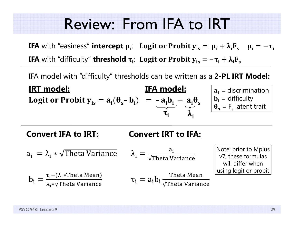### Review: From IFA to IRT

**IFA** with "easiness" **intercept**  $\mu_i$ **:** Logit or Probit  $\mathbf{y}_{is} = \ \mu_i + \lambda_i \mathbf{F}_s \quad \mu_i = -\boldsymbol{\tau}_i$ **IFA** with "difficulty" **threshold**  $\boldsymbol{\tau}_i$ **: Logit or Probit**  $\boldsymbol{y}_{is} = -\boldsymbol{\tau}_i + \boldsymbol{\lambda}_i \boldsymbol{F}_s$ 

IFA model with "difficulty" thresholds can be written as a **2-PL IRT Model:**

**IRT model: IFA model:**IFA model: **Logit or Probit**  $y_{is} = a_i(\theta_s - b_i) = -a_i b_i + a_i \theta_s$  $\tau_i$   $\lambda_i$  $\mathbf{a_i}$  = discrimination  $\mathbf{b}_i$  = difficulty  $\theta_{s}$  = F<sub>s</sub> latent trait

#### **Convert IFA to IRT: Convert IRT to IFA:**

 ${\sf a_i}\; = \lambda_{\sf i} * \sqrt{\rm Theta\;Variance} \qquad \lambda_{\sf i} = 0$  ${\sf a_i}$ Theta Variance  $b_i =$ τ<sub>i</sub>–(λ<sub>i</sub>∗Theta Mean) λ<sub>i</sub>∗√Theta Variance  $\tau_{\rm i} = {\rm a_{\rm i} b_{\rm i}} \frac{\rm{Theta Mean}}{\rm{\sqrt{Theta}} \rm{\,Variance}}$ Note: prior to Mplus v7, these formulas will differ when using logit or probit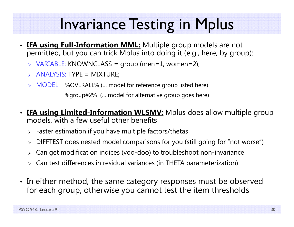## Invariance Testing in Mplus

- •**IFA using Full-Information MML:** Multiple group models are not permitted, but you can trick Mplus into doing it (e.g., here, by group):
	- VARIABLE: KNOWNCLASS = group (men=1, women=2);
	- $\triangleright$  ANALYSIS: TYPE = MIXTURE;
	- > MODEL: %OVERALL% (... model for reference group listed here)

%group#2% (… model for alternative group goes here)

- •**IFA using Limited-Information WLSMV:** Mplus does allow multiple group models, with a few useful other benefits
	- $\triangleright$  Faster estimation if you have multiple factors/thetas
	- DIFFTEST does nested model comparisons for you (still going for "not worse")
	- Can get modification indices (voo-doo) to troubleshoot non-invariance
	- $\triangleright$  Can test differences in residual variances (in THETA parameterization)
- In either method, the same category responses must be observed for each group, otherwise you cannot test the item thresholds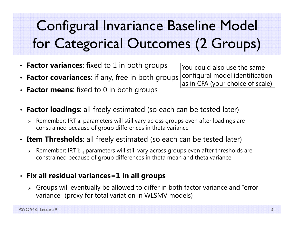## Configural Invariance Baseline Model for Categorical Outcomes (2 Groups)

- **Factor variances**: fixed to 1 in both groups
- •**Factor covariances:** if any, free in both groups
- •**Factor means**: fixed to 0 in both groups

You could also use the same configural model identification as in CFA (your choice of scale)

- $\bullet$ **Factor loadings:** all freely estimated (so each can be tested later)
	- $\triangleright$  Remember: IRT  $a_i$  parameters will still vary across groups even after loadings are constrained because of group differences in theta variance
- **Item Thresholds**: all freely estimated (so each can be tested later)
	- $\blacktriangleright$  $\triangleright$  Remember: IRT  $\rm b_{ki}$  parameters will still vary across groups even after thresholds are constrained because of group differences in theta mean and theta variance

#### • **Fix all residual variances=1 in all groups**

 $\triangleright$  Groups will eventually be allowed to differ in both factor variance and "error variance" (proxy for total variation in WLSMV models)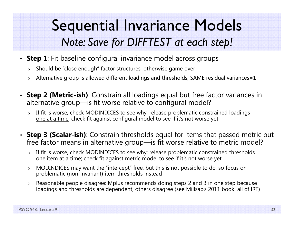### Sequential Invariance Models *Note: Save for DIFFTEST at each step!*

- **Step 1**: Fit baseline configural invariance model across groups
	- $\triangleright$   $\,$  Should be "close enough" factor structures, otherwise game over
	- $\triangleright$   $\,$  Alternative group is allowed different loadings and thresholds, SAME residual variances=1  $\,$
- **Step 2 (Metric-ish)**: Constrain all loadings equal but free factor variances in alternative group—is fit worse relative to configural model?
	- If fit is worse, check MODINDICES to see why; release problematic constrained loadings one at a time; check fit against configural model to see if it's not worse yet
- **Step 3 (Scalar-ish)**: Constrain thresholds equal for items that passed metric but free factor means in alternative group—is fit worse relative to metric model?
	- > If fit is worse, check MODINDICES to see why; release problematic constrained thresholds one item at a time; check fit against metric model to see if it's not worse yet
	- MODINDICES may want the "intercept" free, but this is not possible to do, so focus on problematic (non-invariant) item thresholds instead
	- Reasonable people disagree: Mplus recommends doing steps 2 and 3 in one step because loadings and thresholds are dependent; others disagree (see Millsap's 2011 book; all of IRT)